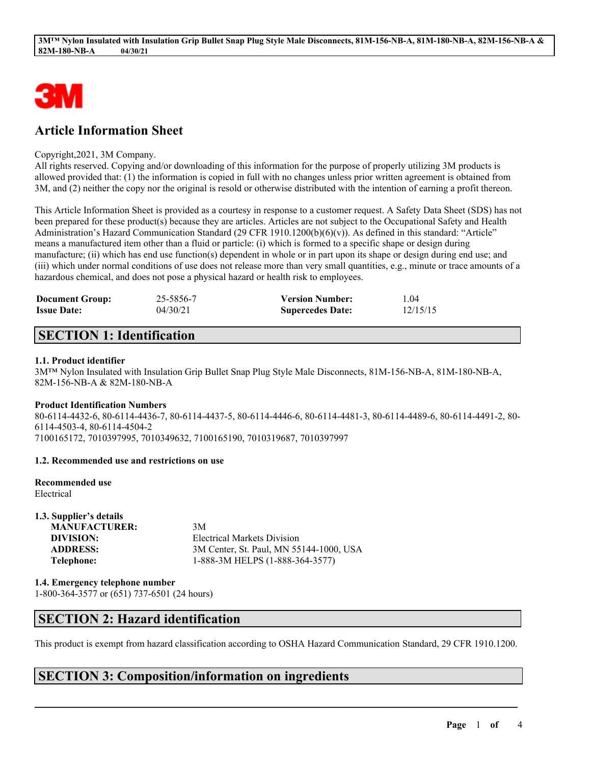

# **Article Information Sheet**

### Copyright,2021, 3M Company.

All rights reserved. Copying and/or downloading of this information for the purpose of properly utilizing 3M products is allowed provided that: (1) the information is copied in full with no changes unless prior written agreement is obtained from 3M, and (2) neither the copy nor the original is resold or otherwise distributed with the intention of earning a profit thereon.

This Article Information Sheet is provided as a courtesy in response to a customer request. A Safety Data Sheet (SDS) has not been prepared for these product(s) because they are articles. Articles are not subject to the Occupational Safety and Health Administration's Hazard Communication Standard (29 CFR 1910.1200(b)(6)(v)). As defined in this standard: "Article" means a manufactured item other than a fluid or particle: (i) which is formed to a specific shape or design during manufacture; (ii) which has end use function(s) dependent in whole or in part upon its shape or design during end use; and (iii) which under normal conditions of use does not release more than very small quantities, e.g., minute or trace amounts of a hazardous chemical, and does not pose a physical hazard or health risk to employees.

| <b>Document Group:</b> | 25-5856-7 | <b>Version Number:</b>  | 1.04     |
|------------------------|-----------|-------------------------|----------|
| <b>Issue Date:</b>     | 04/30/21  | <b>Supercedes Date:</b> | 12/15/15 |

# **SECTION 1: Identification**

### **1.1. Product identifier**

3M™ Nylon Insulated with Insulation Grip Bullet Snap Plug Style Male Disconnects, 81M-156-NB-A, 81M-180-NB-A, 82M-156-NB-A & 82M-180-NB-A

### **Product Identification Numbers**

80-6114-4432-6, 80-6114-4436-7, 80-6114-4437-5, 80-6114-4446-6, 80-6114-4481-3, 80-6114-4489-6, 80-6114-4491-2, 80- 6114-4503-4, 80-6114-4504-2 7100165172, 7010397995, 7010349632, 7100165190, 7010319687, 7010397997

### **1.2. Recommended use and restrictions on use**

# **Recommended use**

Electrical

**1.3. Supplier's details MANUFACTURER:** 3M **DIVISION:** Electrical Markets Division **ADDRESS:** 3M Center, St. Paul, MN 55144-1000, USA **Telephone:** 1-888-3M HELPS (1-888-364-3577)

**1.4. Emergency telephone number**

1-800-364-3577 or (651) 737-6501 (24 hours)

# **SECTION 2: Hazard identification**

This product is exempt from hazard classification according to OSHA Hazard Communication Standard, 29 CFR 1910.1200.

 $\mathcal{L}_\mathcal{L} = \mathcal{L}_\mathcal{L} = \mathcal{L}_\mathcal{L} = \mathcal{L}_\mathcal{L} = \mathcal{L}_\mathcal{L} = \mathcal{L}_\mathcal{L} = \mathcal{L}_\mathcal{L} = \mathcal{L}_\mathcal{L} = \mathcal{L}_\mathcal{L} = \mathcal{L}_\mathcal{L} = \mathcal{L}_\mathcal{L} = \mathcal{L}_\mathcal{L} = \mathcal{L}_\mathcal{L} = \mathcal{L}_\mathcal{L} = \mathcal{L}_\mathcal{L} = \mathcal{L}_\mathcal{L} = \mathcal{L}_\mathcal{L}$ 

# **SECTION 3: Composition/information on ingredients**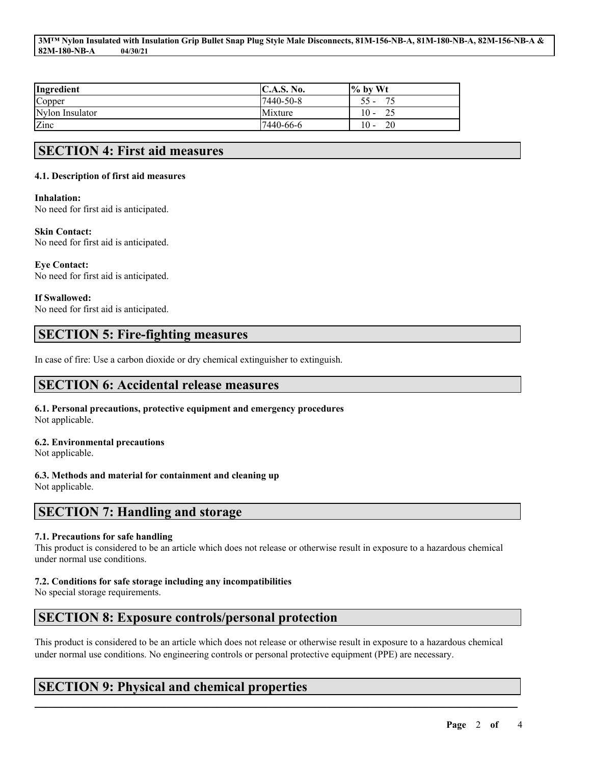#### 3MTM Nylon Insulated with Insulation Grip Bullet Snap Plug Style Male Disconnects, 81M-156-NB-A, 81M-180-NB-A, 82M-156-NB-A & **82M-180-NB-A 04/30/21**

| Ingredient      | C.A.S. No. | $\frac{9}{6}$ by Wt                  |
|-----------------|------------|--------------------------------------|
| Copper          | 7440-50-8  | רר                                   |
| Nylon Insulator | Mixture    | 10<br>$\overline{\phantom{0}}$       |
| Zinc            | 17440-66-6 | 20<br>10<br>$\overline{\phantom{a}}$ |

# **SECTION 4: First aid measures**

### **4.1. Description of first aid measures**

### **Inhalation:**

No need for first aid is anticipated.

### **Skin Contact:**

No need for first aid is anticipated.

## **Eye Contact:**

No need for first aid is anticipated.

## **If Swallowed:**

No need for first aid is anticipated.

# **SECTION 5: Fire-fighting measures**

In case of fire: Use a carbon dioxide or dry chemical extinguisher to extinguish.

## **SECTION 6: Accidental release measures**

### **6.1. Personal precautions, protective equipment and emergency procedures** Not applicable.

## **6.2. Environmental precautions**

Not applicable.

## **6.3. Methods and material for containment and cleaning up**

Not applicable.

## **SECTION 7: Handling and storage**

## **7.1. Precautions for safe handling**

This product is considered to be an article which does not release or otherwise result in exposure to a hazardous chemical under normal use conditions.

## **7.2. Conditions for safe storage including any incompatibilities**

No special storage requirements.

# **SECTION 8: Exposure controls/personal protection**

This product is considered to be an article which does not release or otherwise result in exposure to a hazardous chemical under normal use conditions. No engineering controls or personal protective equipment (PPE) are necessary.

 $\mathcal{L}_\mathcal{L} = \mathcal{L}_\mathcal{L} = \mathcal{L}_\mathcal{L} = \mathcal{L}_\mathcal{L} = \mathcal{L}_\mathcal{L} = \mathcal{L}_\mathcal{L} = \mathcal{L}_\mathcal{L} = \mathcal{L}_\mathcal{L} = \mathcal{L}_\mathcal{L} = \mathcal{L}_\mathcal{L} = \mathcal{L}_\mathcal{L} = \mathcal{L}_\mathcal{L} = \mathcal{L}_\mathcal{L} = \mathcal{L}_\mathcal{L} = \mathcal{L}_\mathcal{L} = \mathcal{L}_\mathcal{L} = \mathcal{L}_\mathcal{L}$ 

# **SECTION 9: Physical and chemical properties**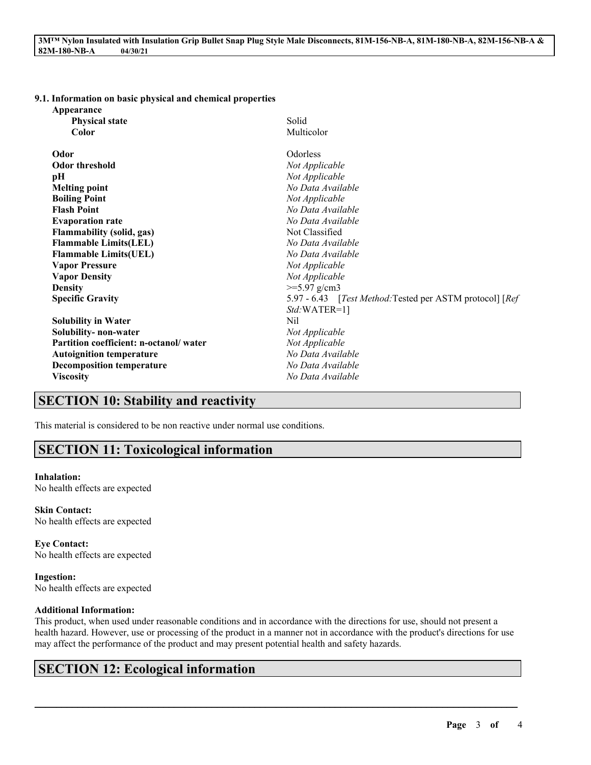#### **9.1. Information on basic physical and chemical properties**

| Appearance                             |                                                           |  |
|----------------------------------------|-----------------------------------------------------------|--|
| <b>Physical state</b>                  | Solid                                                     |  |
| Color                                  | Multicolor                                                |  |
| Odor                                   | <b>Odorless</b>                                           |  |
| <b>Odor threshold</b>                  | Not Applicable                                            |  |
| pН                                     | Not Applicable                                            |  |
| <b>Melting point</b>                   | No Data Available                                         |  |
| <b>Boiling Point</b>                   | Not Applicable                                            |  |
| <b>Flash Point</b>                     | No Data Available                                         |  |
| <b>Evaporation rate</b>                | No Data Available                                         |  |
| <b>Flammability (solid, gas)</b>       | Not Classified                                            |  |
| <b>Flammable Limits(LEL)</b>           | No Data Available                                         |  |
| <b>Flammable Limits(UEL)</b>           | No Data Available                                         |  |
| <b>Vapor Pressure</b>                  | Not Applicable                                            |  |
| <b>Vapor Density</b>                   | Not Applicable                                            |  |
| <b>Density</b>                         | $>=5.97$ g/cm3                                            |  |
| <b>Specific Gravity</b>                | 5.97 - 6.43 [Test Method: Tested per ASTM protocol] [Ref] |  |
|                                        | $Std:WATER=1$ ]                                           |  |
| <b>Solubility in Water</b>             | Nil                                                       |  |
| Solubility- non-water                  | Not Applicable                                            |  |
| Partition coefficient: n-octanol/water | Not Applicable                                            |  |
| <b>Autoignition temperature</b>        | No Data Available                                         |  |
| <b>Decomposition temperature</b>       | No Data Available                                         |  |
| <b>Viscosity</b>                       | No Data Available                                         |  |

# **SECTION 10: Stability and reactivity**

This material is considered to be non reactive under normal use conditions.

## **SECTION 11: Toxicological information**

#### **Inhalation:**

No health effects are expected

**Skin Contact:** No health effects are expected

**Eye Contact:** No health effects are expected

**Ingestion:** No health effects are expected

### **Additional Information:**

This product, when used under reasonable conditions and in accordance with the directions for use, should not present a health hazard. However, use or processing of the product in a manner not in accordance with the product's directions for use may affect the performance of the product and may present potential health and safety hazards.

 $\mathcal{L}_\mathcal{L} = \mathcal{L}_\mathcal{L} = \mathcal{L}_\mathcal{L} = \mathcal{L}_\mathcal{L} = \mathcal{L}_\mathcal{L} = \mathcal{L}_\mathcal{L} = \mathcal{L}_\mathcal{L} = \mathcal{L}_\mathcal{L} = \mathcal{L}_\mathcal{L} = \mathcal{L}_\mathcal{L} = \mathcal{L}_\mathcal{L} = \mathcal{L}_\mathcal{L} = \mathcal{L}_\mathcal{L} = \mathcal{L}_\mathcal{L} = \mathcal{L}_\mathcal{L} = \mathcal{L}_\mathcal{L} = \mathcal{L}_\mathcal{L}$ 

## **SECTION 12: Ecological information**